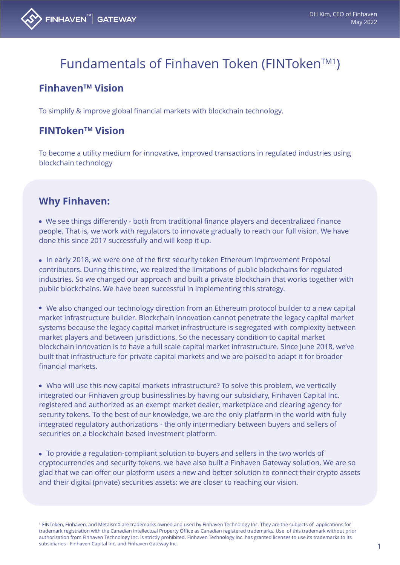### **Why Finhaven:**

 We see things differently - both from traditional finance players and decentralized finance people. That is, we work with regulators to innovate gradually to reach our full vision. We have done this since 2017 successfully and will keep it up.

• In early 2018, we were one of the first security token Ethereum Improvement Proposal contributors. During this time, we realized the limitations of public blockchains for regulated industries. So we changed our approach and built a private blockchain that works together with public blockchains. We have been successful in implementing this strategy.

 We also changed our technology direction from an Ethereum protocol builder to a new capital market infrastructure builder. Blockchain innovation cannot penetrate the legacy capital market systems because the legacy capital market infrastructure is segregated with complexity between market players and between jurisdictions. So the necessary condition to capital market blockchain innovation is to have a full scale capital market infrastructure. Since June 2018, we've built that infrastructure for private capital markets and we are poised to adapt it for broader financial markets.

<sup>1</sup> FINToken, Finhaven, and MetaismX are trademarks owned and used by Finhaven Technology Inc. They are the subjects of applications for trademark registration with the Canadian Intellectual Property Office as Canadian registered trademarks. Use of this trademark without prior authorization from Finhaven Technology Inc. is strictly prohibited. Finhaven Technology Inc. has granted licenses to use its trademarks to its subsidiaries - Finhaven Capital Inc. and Finhaven Gateway Inc.

 Who will use this new capital markets infrastructure? To solve this problem, we vertically integrated our Finhaven group businesslines by having our subsidiary, Finhaven Capital Inc. registered and authorized as an exempt market dealer, marketplace and clearing agency for security tokens. To the best of our knowledge, we are the only platform in the world with fully integrated regulatory authorizations - the only intermediary between buyers and sellers of securities on a blockchain based investment platform.

 To provide a regulation-compliant solution to buyers and sellers in the two worlds of cryptocurrencies and security tokens, we have also built a Finhaven Gateway solution. We are so glad that we can offer our platform users a new and better solution to connect their crypto assets and their digital (private) securities assets: we are closer to reaching our vision.

### **FinhavenTM Vision**

To simplify & improve global financial markets with blockchain technology.

### **FINTokenTM Vision**

To become a utility medium for innovative, improved transactions in regulated industries using blockchain technology



# Fundamentals of Finhaven Token (FINToken<sup>™1</sup>)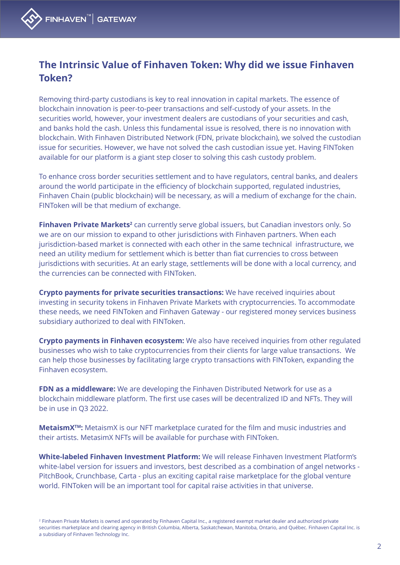

# **The Intrinsic Value of Finhaven Token: Why did we issue Finhaven Token?**

Removing third-party custodians is key to real innovation in capital markets. The essence of blockchain innovation is peer-to-peer transactions and self-custody of your assets. In the securities world, however, your investment dealers are custodians of your securities and cash, and banks hold the cash. Unless this fundamental issue is resolved, there is no innovation with blockchain. With Finhaven Distributed Network (FDN, private blockchain), we solved the custodian issue for securities. However, we have not solved the cash custodian issue yet. Having FINToken available for our platform is a giant step closer to solving this cash custody problem.

**Finhaven Private Markets<sup>2</sup>** can currently serve global issuers, but Canadian investors only. So we are on our mission to expand to other jurisdictions with Finhaven partners. When each jurisdiction-based market is connected with each other in the same technical infrastructure, we need an utility medium for settlement which is better than fiat currencies to cross between jurisdictions with securities. At an early stage, settlements will be done with a local currency, and the currencies can be connected with FINToken.

To enhance cross border securities settlement and to have regulators, central banks, and dealers around the world participate in the efficiency of blockchain supported, regulated industries, Finhaven Chain (public blockchain) will be necessary, as will a medium of exchange for the chain. FINToken will be that medium of exchange.

<sup>2</sup> Finhaven Private Markets is owned and operated by Finhaven Capital Inc., a registered exempt market dealer and authorized private securities marketplace and clearing agency in British Columbia, Alberta, Saskatchewan, Manitoba, Ontario, and Québec. Finhaven Capital Inc. is a subsidiary of Finhaven Technology Inc.

**Crypto payments for private securities transactions:** We have received inquiries about investing in security tokens in Finhaven Private Markets with cryptocurrencies. To accommodate these needs, we need FINToken and Finhaven Gateway - our registered money services business subsidiary authorized to deal with FINToken.

**Crypto payments in Finhaven ecosystem:** We also have received inquiries from other regulated businesses who wish to take cryptocurrencies from their clients for large value transactions. We can help those businesses by facilitating large crypto transactions with FINToken, expanding the Finhaven ecosystem.

**FDN as a middleware:** We are developing the Finhaven Distributed Network for use as a blockchain middleware platform. The first use cases will be decentralized ID and NFTs. They will be in use in Q3 2022.

**MetaismXTM:** MetaismX is our NFT marketplace curated for the film and music industries and their artists. MetasimX NFTs will be available for purchase with FINToken.

**White-labeled Finhaven Investment Platform:** We will release Finhaven Investment Platform's white-label version for issuers and investors, best described as a combination of angel networks - PitchBook, Crunchbase, Carta - plus an exciting capital raise marketplace for the global venture world. FINToken will be an important tool for capital raise activities in that universe.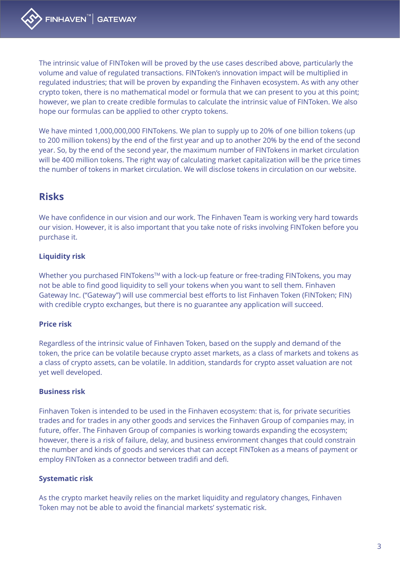

The intrinsic value of FINToken will be proved by the use cases described above, particularly the volume and value of regulated transactions. FINToken's innovation impact will be multiplied in regulated industries; that will be proven by expanding the Finhaven ecosystem. As with any other crypto token, there is no mathematical model or formula that we can present to you at this point; however, we plan to create credible formulas to calculate the intrinsic value of FINToken. We also hope our formulas can be applied to other crypto tokens.

Whether you purchased FINTokens<sup>™</sup> with a lock-up feature or free-trading FINTokens, you may not be able to find good liquidity to sell your tokens when you want to sell them. Finhaven

We have minted 1,000,000,000 FINTokens. We plan to supply up to 20% of one billion tokens (up to 200 million tokens) by the end of the first year and up to another 20% by the end of the second year. So, by the end of the second year, the maximum number of FINTokens in market circulation will be 400 million tokens. The right way of calculating market capitalization will be the price times the number of tokens in market circulation. We will disclose tokens in circulation on our website.

## **Risks**

We have confidence in our vision and our work. The Finhaven Team is working very hard towards our vision. However, it is also important that you take note of risks involving FINToken before you purchase it.

#### **Liquidity risk**

Gateway Inc. ("Gateway") will use commercial best efforts to list Finhaven Token (FINToken; FIN) with credible crypto exchanges, but there is no guarantee any application will succeed.

#### **Price risk**

Regardless of the intrinsic value of Finhaven Token, based on the supply and demand of the token, the price can be volatile because crypto asset markets, as a class of markets and tokens as a class of crypto assets, can be volatile. In addition, standards for crypto asset valuation are not yet well developed.

### **Business risk**

Finhaven Token is intended to be used in the Finhaven ecosystem: that is, for private securities trades and for trades in any other goods and services the Finhaven Group of companies may, in future, offer. The Finhaven Group of companies is working towards expanding the ecosystem; however, there is a risk of failure, delay, and business environment changes that could constrain the number and kinds of goods and services that can accept FINToken as a means of payment or employ FINToken as a connector between tradifi and defi.

### **Systematic risk**

As the crypto market heavily relies on the market liquidity and regulatory changes, Finhaven Token may not be able to avoid the financial markets' systematic risk.